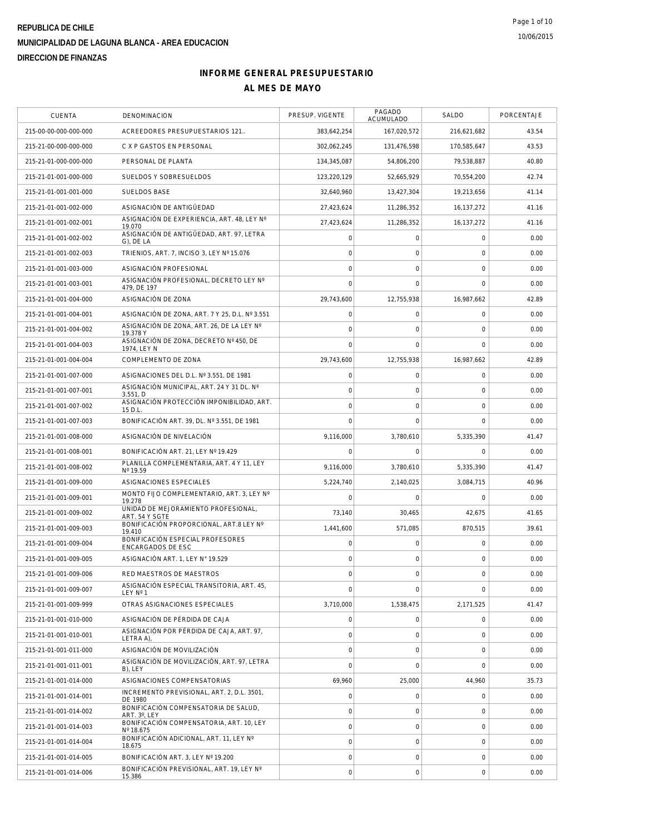| CUENTA                | DENOMINACION                                          | PRESUP. VIGENTE     | PAGADO<br>ACUMULADO | SALDO          | PORCENTAJE |
|-----------------------|-------------------------------------------------------|---------------------|---------------------|----------------|------------|
| 215-00-00-000-000-000 | ACREEDORES PRESUPUESTARIOS 121                        | 383,642,254         | 167,020,572         | 216,621,682    | 43.54      |
| 215-21-00-000-000-000 | C X P GASTOS EN PERSONAL                              | 302,062,245         | 131,476,598         | 170,585,647    | 43.53      |
| 215-21-01-000-000-000 | PERSONAL DE PLANTA                                    | 134,345,087         | 54,806,200          | 79,538,887     | 40.80      |
| 215-21-01-001-000-000 | SUELDOS Y SOBRESUELDOS                                | 123,220,129         | 52,665,929          | 70.554.200     | 42.74      |
| 215-21-01-001-001-000 | SUELDOS BASE                                          | 32,640,960          | 13,427,304          | 19,213,656     | 41.14      |
| 215-21-01-001-002-000 | ASIGNACIÓN DE ANTIGÜEDAD                              | 27,423,624          | 11,286,352          | 16,137,272     | 41.16      |
| 215-21-01-001-002-001 | ASIGNACIÓN DE EXPERIENCIA, ART. 48, LEY Nº<br>19.070  | 27,423,624          | 11,286,352          | 16,137,272     | 41.16      |
| 215-21-01-001-002-002 | ASIGNACIÓN DE ANTIGÜEDAD, ART. 97, LETRA<br>G), DE LA | 0                   | $\mathbf 0$         | $\mathbf 0$    | 0.00       |
| 215-21-01-001-002-003 | TRIENIOS, ART. 7, INCISO 3, LEY Nº 15.076             | $\mathsf{O}\xspace$ | 0                   | $\mathbf 0$    | 0.00       |
| 215-21-01-001-003-000 | ASIGNACIÓN PROFESIONAL                                | $\mathbf 0$         | 0                   | $\mathbf 0$    | 0.00       |
| 215-21-01-001-003-001 | ASIGNACIÓN PROFESIONAL, DECRETO LEY Nº<br>479, DE 197 | 0                   | 0                   | $\circ$        | 0.00       |
| 215-21-01-001-004-000 | ASIGNACIÓN DE ZONA                                    | 29,743,600          | 12,755,938          | 16,987,662     | 42.89      |
| 215-21-01-001-004-001 | ASIGNACIÓN DE ZONA, ART. 7 Y 25, D.L. Nº 3.551        | $\mathsf{O}\xspace$ | $\mathbf 0$         | $\mathbf 0$    | 0.00       |
| 215-21-01-001-004-002 | ASIGNACIÓN DE ZONA, ART. 26, DE LA LEY Nº<br>19.378 Y | $\mathsf{O}\xspace$ | 0                   | $\mathbf 0$    | 0.00       |
| 215-21-01-001-004-003 | ASIGNACIÓN DE ZONA, DECRETO Nº 450, DE<br>1974, LEY N | $\mathbf 0$         | $\mathbf 0$         | $\mathbf 0$    | 0.00       |
| 215-21-01-001-004-004 | COMPLEMENTO DE ZONA                                   | 29,743,600          | 12,755,938          | 16.987.662     | 42.89      |
| 215-21-01-001-007-000 | ASIGNACIONES DEL D.L. Nº 3.551. DE 1981               | $\mathsf{O}\xspace$ | $\mathbf 0$         | $\mathbf 0$    | 0.00       |
| 215-21-01-001-007-001 | ASIGNACIÓN MUNICIPAL, ART. 24 Y 31 DL. Nº<br>3.551, D | $\mathsf{O}\xspace$ | $\mathbf 0$         | $\circ$        | 0.00       |
| 215-21-01-001-007-002 | ASIGNACIÓN PROTECCIÓN IMPONIBILIDAD, ART.<br>15 D.L.  | $\mathbf 0$         | 0                   | $\circ$        | 0.00       |
| 215-21-01-001-007-003 | BONIFICACIÓN ART. 39, DL. Nº 3.551, DE 1981           | $\mathbf 0$         | $\mathbf 0$         | $\mathbf 0$    | 0.00       |
| 215-21-01-001-008-000 | ASIGNACIÓN DE NIVELACIÓN                              | 9,116,000           | 3,780,610           | 5,335,390      | 41.47      |
| 215-21-01-001-008-001 | BONIFICACIÓN ART. 21, LEY Nº 19.429                   | 0                   | 0                   | $\mathbf 0$    | 0.00       |
| 215-21-01-001-008-002 | PLANILLA COMPLEMENTARIA, ART. 4 Y 11, LEY<br>Nº 19.59 | 9,116,000           | 3,780,610           | 5,335,390      | 41.47      |
| 215-21-01-001-009-000 | ASIGNACIONES ESPECIALES                               | 5,224,740           | 2,140,025           | 3,084,715      | 40.96      |
| 215-21-01-001-009-001 | MONTO FIJO COMPLEMENTARIO, ART. 3, LEY Nº<br>19.278   | $\mathbf 0$         | 0                   | $\mathbf 0$    | 0.00       |
| 215-21-01-001-009-002 | UNIDAD DE MEJORAMIENTO PROFESIONAL,<br>ART. 54 Y SGTE | 73,140              | 30,465              | 42,675         | 41.65      |
| 215-21-01-001-009-003 | BONIFICACIÓN PROPORCIONAL, ART.8 LEY Nº<br>19.410     | 1,441,600           | 571,085             | 870,515        | 39.61      |
| 215-21-01-001-009-004 | BONIFICACIÓN ESPECIAL PROFESORES<br>ENCARGADOS DE ESC | $\mathsf{O}\xspace$ | 0                   | $\mathbf 0$    | 0.00       |
| 215-21-01-001-009-005 | ASIGNACIÓN ART. 1, LEY Nº 19.529                      | $\mathsf{O}\xspace$ | 0                   | $\mathbf 0$    | 0.00       |
| 215-21-01-001-009-006 | RED MAESTROS DE MAESTROS                              | $\mathbf 0$         | $\mathbf 0$         | $\overline{0}$ | 0.00       |
| 215-21-01-001-009-007 | ASIGNACION ESPECIAL TRANSITORIA, ART. 45,<br>LEY Nº 1 | $\mathbf 0$         | 0                   | $\mathbf 0$    | 0.00       |
| 215-21-01-001-009-999 | OTRAS ASIGNACIONES ESPECIALES                         | 3,710,000           | 1,538,475           | 2,171,525      | 41.47      |
| 215-21-01-001-010-000 | ASIGNACIÓN DE PÉRDIDA DE CAJA                         | 0                   | 0                   | $\mathbf 0$    | 0.00       |
| 215-21-01-001-010-001 | ASIGNACIÓN POR PÉRDIDA DE CAJA, ART. 97,<br>LETRA A). | $\mathsf{O}\xspace$ | 0                   | $\mathbf 0$    | 0.00       |
| 215-21-01-001-011-000 | ASIGNACIÓN DE MOVILIZACIÓN                            | $\mathsf{O}\xspace$ | $\mathbf 0$         | $\mathbf 0$    | 0.00       |
| 215-21-01-001-011-001 | ASIGNACIÓN DE MOVILIZACIÓN, ART. 97, LETRA<br>B), LEY | 0                   | 0                   | $\mathbf 0$    | 0.00       |
| 215-21-01-001-014-000 | ASIGNACIONES COMPENSATORIAS                           | 69,960              | 25,000              | 44,960         | 35.73      |
| 215-21-01-001-014-001 | INCREMENTO PREVISIONAL, ART. 2, D.L. 3501,<br>DE 1980 | $\mathsf{O}\xspace$ | 0                   | $\mathbf 0$    | 0.00       |
| 215-21-01-001-014-002 | BONIFICACIÓN COMPENSATORIA DE SALUD,<br>ART. 3°, LEY  | $\mathbf 0$         | 0                   | $\mathbf 0$    | 0.00       |
| 215-21-01-001-014-003 | BONIFICACIÓN COMPENSATORIA, ART. 10, LEY<br>Nº 18.675 | 0                   | 0                   | $\mathbf 0$    | 0.00       |
| 215-21-01-001-014-004 | BONIFICACIÓN ADICIONAL, ART. 11, LEY Nº<br>18.675     | $\mathsf{O}\xspace$ | 0                   | $\mathbf 0$    | 0.00       |
| 215-21-01-001-014-005 | BONIFICACIÓN ART. 3, LEY Nº 19.200                    | 0                   | $\mathbf 0$         | $\mathbf 0$    | 0.00       |
| 215-21-01-001-014-006 | BONIFICACIÓN PREVISIONAL, ART. 19, LEY Nº<br>15.386   | $\mathsf{O}\xspace$ | 0                   | $\mathbf 0$    | 0.00       |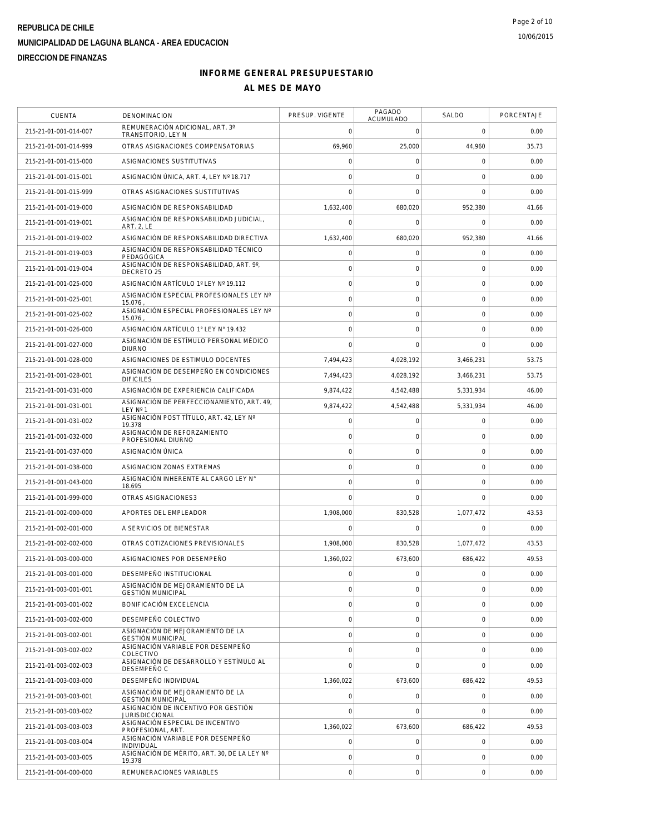| <b>CUENTA</b>         | <b>DENOMINACION</b>                                          | PRESUP. VIGENTE | PAGADO<br>ACUMULADO | SALDO        | PORCENTAJE |
|-----------------------|--------------------------------------------------------------|-----------------|---------------------|--------------|------------|
| 215-21-01-001-014-007 | REMUNERACIÓN ADICIONAL, ART. 3°<br>TRANSITORIO, LEY N        | 0               | 0                   | $\circ$      | 0.00       |
| 215-21-01-001-014-999 | OTRAS ASIGNACIONES COMPENSATORIAS                            | 69,960          | 25,000              | 44,960       | 35.73      |
| 215-21-01-001-015-000 | ASIGNACIONES SUSTITUTIVAS                                    | 0               | 0                   | $\mathbf 0$  | 0.00       |
| 215-21-01-001-015-001 | ASIGNACIÓN ÚNICA, ART. 4, LEY Nº 18.717                      | $\overline{0}$  | $\mathbf 0$         | $\mathbf 0$  | 0.00       |
| 215-21-01-001-015-999 | OTRAS ASIGNACIONES SUSTITUTIVAS                              | $\Omega$        | $\mathbf 0$         | $\mathbf 0$  | 0.00       |
| 215-21-01-001-019-000 | ASIGNACIÓN DE RESPONSABILIDAD                                | 1,632,400       | 680,020             | 952,380      | 41.66      |
| 215-21-01-001-019-001 | ASIGNACIÓN DE RESPONSABILIDAD JUDICIAL.<br>ART. 2, LE        | 0               | $\mathbf 0$         | $\mathbf 0$  | 0.00       |
| 215-21-01-001-019-002 | ASIGNACIÓN DE RESPONSABILIDAD DIRECTIVA                      | 1,632,400       | 680,020             | 952,380      | 41.66      |
| 215-21-01-001-019-003 | ASIGNACIÓN DE RESPONSABILIDAD TÉCNICO<br>PEDAGÓGICA          | 0               | 0                   | $\mathbf 0$  | 0.00       |
| 215-21-01-001-019-004 | ASIGNACIÓN DE RESPONSABILIDAD, ART. 9°,<br>DECRETO 25        | $\mathbf 0$     | 0                   | $\mathbf 0$  | 0.00       |
| 215-21-01-001-025-000 | ASIGNACIÓN ARTÍCULO 1º LEY Nº 19.112                         | 0               | 0                   | $\mathbf 0$  | 0.00       |
| 215-21-01-001-025-001 | ASIGNACIÓN ESPECIAL PROFESIONALES LEY Nº<br>15.076           | $\overline{O}$  | $\mathbf 0$         | $\mathbf 0$  | 0.00       |
| 215-21-01-001-025-002 | ASIGNACIÓN ESPECIAL PROFESIONALES LEY Nº<br>15.076           | $\overline{0}$  | $\mathbf 0$         | $\mathbf 0$  | 0.00       |
| 215-21-01-001-026-000 | ASIGNACIÓN ARTÍCULO 1° LEY N° 19.432                         | 0               | $\mathbf 0$         | $\mathbf 0$  | 0.00       |
| 215-21-01-001-027-000 | ASIGNACIÓN DE ESTÍMULO PERSONAL MÉDICO<br><b>DIURNO</b>      | $\Omega$        | 0                   | $\mathbf 0$  | 0.00       |
| 215-21-01-001-028-000 | ASIGNACIONES DE ESTIMULO DOCENTES                            | 7,494,423       | 4,028,192           | 3,466,231    | 53.75      |
| 215-21-01-001-028-001 | ASIGNACION DE DESEMPEÑO EN CONDICIONES<br><b>DIFICILES</b>   | 7,494,423       | 4.028.192           | 3,466,231    | 53.75      |
| 215-21-01-001-031-000 | ASIGNACIÓN DE EXPERIENCIA CALIFICADA                         | 9,874,422       | 4,542,488           | 5,331,934    | 46.00      |
| 215-21-01-001-031-001 | ASIGNACIÓN DE PERFECCIONAMIENTO, ART. 49,<br>LEY Nº 1        | 9,874,422       | 4,542,488           | 5.331.934    | 46.00      |
| 215-21-01-001-031-002 | ASIGNACIÓN POST TÍTULO, ART. 42, LEY Nº<br>19.378            | 0               | 0                   | $\mathbf 0$  | 0.00       |
| 215-21-01-001-032-000 | ASIGNACIÓN DE REFORZAMIENTO<br>PROFESIONAL DIURNO            | $\mathbf 0$     | $\mathbf 0$         | $\mathbf 0$  | 0.00       |
| 215-21-01-001-037-000 | ASIGNACIÓN ÚNICA                                             | $\mathbf 0$     | $\mathbf 0$         | $\mathbf 0$  | 0.00       |
| 215-21-01-001-038-000 | ASIGNACION ZONAS EXTREMAS                                    | 0               | $\mathbf 0$         | $\mathbf 0$  | 0.00       |
| 215-21-01-001-043-000 | ASIGNACIÓN INHERENTE AL CARGO LEY N°<br>18.695               | $\overline{0}$  | $\mathbf 0$         | $\mathbf 0$  | 0.00       |
| 215-21-01-001-999-000 | OTRAS ASIGNACIONES3                                          | 0               | $\mathbf 0$         | $\mathbf 0$  | 0.00       |
| 215-21-01-002-000-000 | APORTES DEL EMPLEADOR                                        | 1,908,000       | 830,528             | 1,077,472    | 43.53      |
| 215-21-01-002-001-000 | A SERVICIOS DE BIENESTAR                                     | 0               | 0                   | $\mathbf 0$  | 0.00       |
| 215-21-01-002-002-000 | OTRAS COTIZACIONES PREVISIONALES                             | 1,908,000       | 830,528             | 1,077,472    | 43.53      |
| 215-21-01-003-000-000 | ASIGNACIONES POR DESEMPEÑO                                   | 1,360,022       | 673,600             | 686,422      | 49.53      |
| 215-21-01-003-001-000 | DESEMPENO INSTITUCIONAL                                      | 0               | $\mathbf 0$         | $\mathbf 0$  | 0.00       |
| 215-21-01-003-001-001 | ASIGNACIÓN DE MEJORAMIENTO DE LA<br><b>GESTIÓN MUNICIPAL</b> | 0               | 0                   | $\mathbf 0$  | 0.00       |
| 215-21-01-003-001-002 | BONIFICACIÓN EXCELENCIA                                      | 0               | $\mathbf 0$         | $\mathbf 0$  | 0.00       |
| 215-21-01-003-002-000 | DESEMPEÑO COLECTIVO                                          | 0               | 0                   | $\mathbf 0$  | 0.00       |
| 215-21-01-003-002-001 | ASIGNACIÓN DE MEJORAMIENTO DE LA<br><b>GESTIÓN MUNICIPAL</b> | $\circ$         | 0                   | $\mathbf 0$  | 0.00       |
| 215-21-01-003-002-002 | ASIGNACIÓN VARIABLE POR DESEMPEÑO<br>COLECTIVO               | 0               | 0                   | $\mathbf 0$  | 0.00       |
| 215-21-01-003-002-003 | ASIGNACIÓN DE DESARROLLO Y ESTÍMULO AL<br>DESEMPEÑO C        | $\overline{0}$  | $\mathbf 0$         | $\mathbf 0$  | 0.00       |
| 215-21-01-003-003-000 | DESEMPEÑO INDIVIDUAL                                         | 1,360,022       | 673,600             | 686,422      | 49.53      |
| 215-21-01-003-003-001 | ASIGNACIÓN DE MEJORAMIENTO DE LA<br><b>GESTIÓN MUNICIPAL</b> | $\overline{0}$  | 0                   | $\mathbf 0$  | 0.00       |
| 215-21-01-003-003-002 | ASIGNACIÓN DE INCENTIVO POR GESTIÓN<br><b>JURISDICCIONAL</b> | $\overline{0}$  | 0                   | $\mathbf 0$  | 0.00       |
| 215-21-01-003-003-003 | ASIGNACIÓN ESPECIAL DE INCENTIVO<br>PROFESIONAL, ART.        | 1,360,022       | 673,600             | 686,422      | 49.53      |
| 215-21-01-003-003-004 | ASIGNACIÓN VARIABLE POR DESEMPEÑO<br>INDIVIDUAL              | 0               | $\mathbf{0}$        | $\mathbf 0$  | 0.00       |
| 215-21-01-003-003-005 | ASIGNACIÓN DE MÉRITO, ART. 30, DE LA LEY Nº<br>19.378        | 0               | $\mathbf 0$         | $\mathbf{0}$ | 0.00       |
| 215-21-01-004-000-000 | REMUNERACIONES VARIABLES                                     | 0               | $\mathsf{O}\xspace$ | $\mathbf 0$  | 0.00       |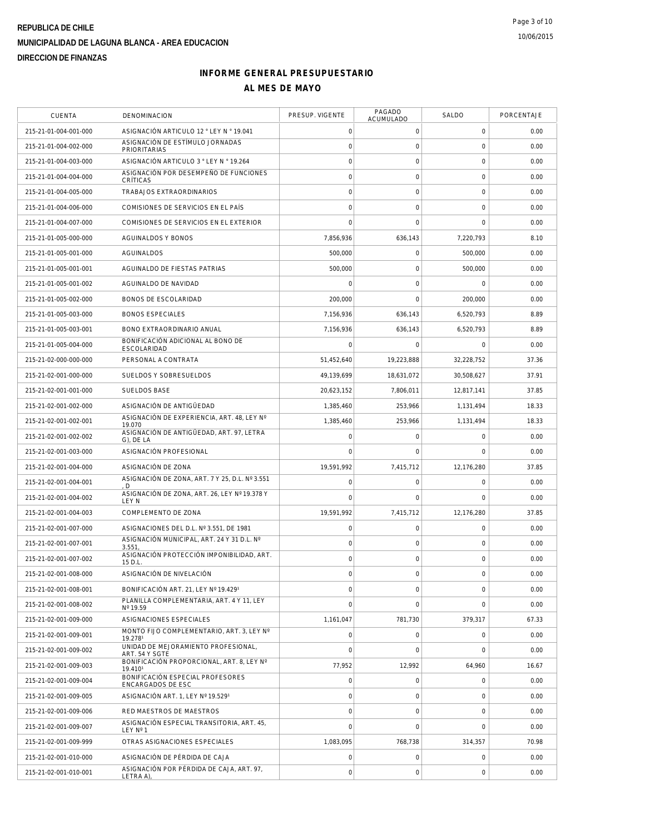| CUENTA                | DENOMINACION                                                 | PRESUP. VIGENTE | PAGADO<br>ACUMULADO | SALDO        | PORCENTAJE |
|-----------------------|--------------------------------------------------------------|-----------------|---------------------|--------------|------------|
| 215-21-01-004-001-000 | ASIGNACIÓN ARTICULO 12 ° LEY N ° 19.041                      | 0               | 0                   | $\mathbf 0$  | 0.00       |
| 215-21-01-004-002-000 | ASIGNACIÓN DE ESTÍMULO JORNADAS<br><b>PRIORITARIAS</b>       | 0               | 0                   | $\mathbf 0$  | 0.00       |
| 215-21-01-004-003-000 | ASIGNACIÓN ARTICULO 3 ° LEY N º 19.264                       | 0               | 0                   | $\mathbf 0$  | 0.00       |
| 215-21-01-004-004-000 | ASIGNACIÓN POR DESEMPEÑO DE FUNCIONES<br>CRÍTICAS            | $\mathbf 0$     | $\mathbf 0$         | $\mathbf 0$  | 0.00       |
| 215-21-01-004-005-000 | TRABAJOS EXTRAORDINARIOS                                     | $\circ$         | 0                   | $\mathbf 0$  | 0.00       |
| 215-21-01-004-006-000 | COMISIONES DE SERVICIOS EN EL PAÍS                           | 0               | $\mathbf 0$         | $\mathbf 0$  | 0.00       |
| 215-21-01-004-007-000 | COMISIONES DE SERVICIOS EN EL EXTERIOR                       | 0               | $\mathbf 0$         | $\mathbf 0$  | 0.00       |
| 215-21-01-005-000-000 | <b>AGUINALDOS Y BONOS</b>                                    | 7,856,936       | 636,143             | 7,220,793    | 8.10       |
| 215-21-01-005-001-000 | <b>AGUINALDOS</b>                                            | 500,000         | 0                   | 500,000      | 0.00       |
| 215-21-01-005-001-001 | AGUINALDO DE FIESTAS PATRIAS                                 | 500,000         | 0                   | 500,000      | 0.00       |
| 215-21-01-005-001-002 | AGUINALDO DE NAVIDAD                                         | 0               | $\mathbf 0$         | $\mathbf 0$  | 0.00       |
| 215-21-01-005-002-000 | BONOS DE ESCOLARIDAD                                         | 200,000         | $\mathbf 0$         | 200,000      | 0.00       |
| 215-21-01-005-003-000 | <b>BONOS ESPECIALES</b>                                      | 7,156,936       | 636,143             | 6,520,793    | 8.89       |
| 215-21-01-005-003-001 | BONO EXTRAORDINARIO ANUAL                                    | 7,156,936       | 636,143             | 6,520,793    | 8.89       |
| 215-21-01-005-004-000 | BONIFICACIÓN ADICIONAL AL BONO DE<br>ESCOLARIDAD             | 0               | 0                   | $\mathbf 0$  | 0.00       |
| 215-21-02-000-000-000 | PERSONAL A CONTRATA                                          | 51,452,640      | 19,223,888          | 32,228,752   | 37.36      |
| 215-21-02-001-000-000 | SUELDOS Y SOBRESUELDOS                                       | 49,139,699      | 18,631,072          | 30.508.627   | 37.91      |
| 215-21-02-001-001-000 | <b>SUELDOS BASE</b>                                          | 20.623.152      | 7,806,011           | 12.817.141   | 37.85      |
| 215-21-02-001-002-000 | ASIGNACIÓN DE ANTIGÜEDAD                                     | 1,385,460       | 253.966             | 1,131,494    | 18.33      |
| 215-21-02-001-002-001 | ASIGNACIÓN DE EXPERIENCIA, ART. 48, LEY Nº<br>19.070         | 1,385,460       | 253,966             | 1,131,494    | 18.33      |
| 215-21-02-001-002-002 | ASIGNACIÓN DE ANTIGÜEDAD, ART. 97, LETRA<br>G), DE LA        | 0               | 0                   | $\mathbf 0$  | 0.00       |
| 215-21-02-001-003-000 | ASIGNACIÓN PROFESIONAL                                       | 0               | 0                   | $\mathbf 0$  | 0.00       |
| 215-21-02-001-004-000 | ASIGNACIÓN DE ZONA                                           | 19,591,992      | 7,415,712           | 12,176,280   | 37.85      |
| 215-21-02-001-004-001 | ASIGNACIÓN DE ZONA, ART. 7 Y 25, D.L. Nº 3.551<br>. D        | 0               | 0                   | $\mathbf 0$  | 0.00       |
| 215-21-02-001-004-002 | ASIGNACIÓN DE ZONA, ART. 26, LEY Nº 19.378 Y<br><b>LEY N</b> | $\overline{0}$  | $\mathbf 0$         | $\mathbf 0$  | 0.00       |
| 215-21-02-001-004-003 | COMPLEMENTO DE ZONA                                          | 19,591,992      | 7,415,712           | 12,176,280   | 37.85      |
| 215-21-02-001-007-000 | ASIGNACIONES DEL D.L. Nº 3.551, DE 1981                      | 0               | 0                   | $\mathbf 0$  | 0.00       |
| 215-21-02-001-007-001 | ASIGNACIÓN MUNICIPAL, ART. 24 Y 31 D.L. Nº<br>3.551          | $\circ$         | $\mathbf 0$         | $\mathbf 0$  | 0.00       |
| 215-21-02-001-007-002 | ASIGNACIÓN PROTECCIÓN IMPONIBILIDAD, ART.<br>15 D.L          | $\circ$         | 0                   | $\mathbf 0$  | 0.00       |
| 215-21-02-001-008-000 | ASIGNACIÓN DE NIVELACIÓN                                     | 0               | $\mathbf 0$         | $\mathbf{0}$ | 0.00       |
| 215-21-02-001-008-001 | BONIFICACIÓN ART. 21. LEY Nº 19.4291                         | 0               | $\mathsf{O}\xspace$ | $\mathbf 0$  | 0.00       |
| 215-21-02-001-008-002 | PLANILLA COMPLEMENTARIA, ART. 4 Y 11, LEY<br>Nº 19.59        | 0               | $\mathbf 0$         | $\mathbf 0$  | 0.00       |
| 215-21-02-001-009-000 | ASIGNACIONES ESPECIALES                                      | 1,161,047       | 781,730             | 379,317      | 67.33      |
| 215-21-02-001-009-001 | MONTO FIJO COMPLEMENTARIO, ART. 3, LEY Nº<br>19.2781         | $\circ$         | 0                   | $\mathbf 0$  | 0.00       |
| 215-21-02-001-009-002 | UNIDAD DE MEJORAMIENTO PROFESIONAL.<br>ART. 54 Y SGTE        | $\overline{0}$  | $\mathbf 0$         | $\mathbf 0$  | 0.00       |
| 215-21-02-001-009-003 | BONIFICACIÓN PROPORCIONAL, ART. 8. LEY Nº<br>19.4101         | 77,952          | 12,992              | 64,960       | 16.67      |
| 215-21-02-001-009-004 | BONIFICACIÓN ESPECIAL PROFESORES<br>ENCARGADOS DE ESC        | $\overline{0}$  | 0                   | $\mathbf 0$  | 0.00       |
| 215-21-02-001-009-005 | ASIGNACIÓN ART. 1, LEY Nº 19.5291                            | $\overline{0}$  | 0                   | $\mathbf 0$  | 0.00       |
| 215-21-02-001-009-006 | RED MAESTROS DE MAESTROS                                     | $\circ$         | 0                   | $\mathbf 0$  | 0.00       |
| 215-21-02-001-009-007 | ASIGNACIÓN ESPECIAL TRANSITORIA, ART. 45,<br>LEY N° 1        | $\overline{0}$  | $\mathbf 0$         | $\mathbf{0}$ | 0.00       |
| 215-21-02-001-009-999 | OTRAS ASIGNACIONES ESPECIALES                                | 1,083,095       | 768,738             | 314,357      | 70.98      |
| 215-21-02-001-010-000 | ASIGNACIÓN DE PÉRDIDA DE CAJA                                | $\overline{0}$  | 0                   | $\mathbf 0$  | 0.00       |
| 215-21-02-001-010-001 | ASIGNACIÓN POR PÉRDIDA DE CAJA, ART. 97,<br>LETRA A),        | 0               | $\mathsf{O}\xspace$ | $\mathbf 0$  | 0.00       |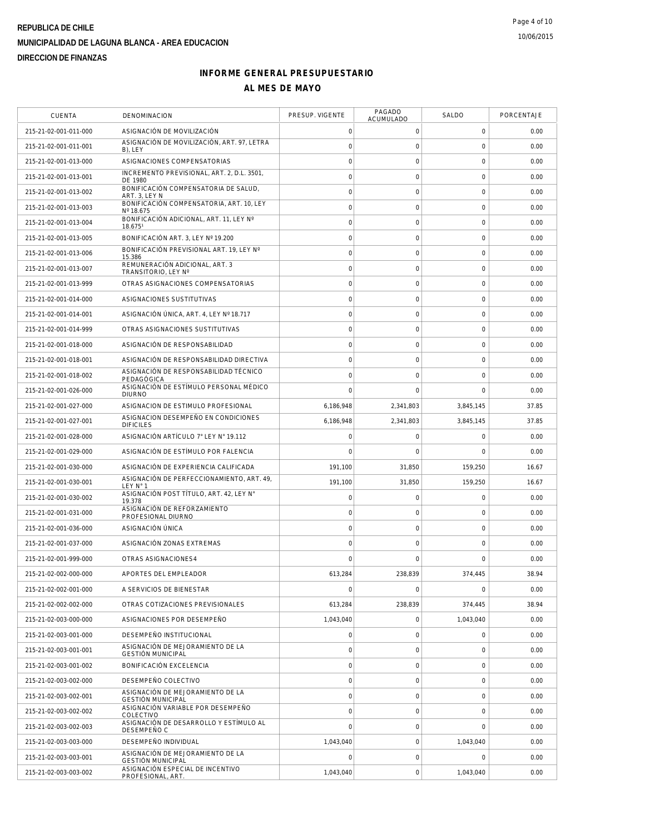| <b>CUENTA</b>         | DENOMINACION                                                 | PRESUP. VIGENTE | PAGADO<br>ACUMULADO | SALDO               | PORCENTAJE |
|-----------------------|--------------------------------------------------------------|-----------------|---------------------|---------------------|------------|
| 215-21-02-001-011-000 | ASIGNACIÓN DE MOVILIZACIÓN                                   | 0               | 0                   | $\mathbf 0$         | 0.00       |
| 215-21-02-001-011-001 | ASIGNACIÓN DE MOVILIZACIÓN, ART. 97, LETRA<br>B), LEY        | 0               | 0                   | $\mathbf 0$         | 0.00       |
| 215-21-02-001-013-000 | ASIGNACIONES COMPENSATORIAS                                  | $\circ$         | 0                   | $\mathsf{O}\xspace$ | 0.00       |
| 215-21-02-001-013-001 | INCREMENTO PREVISIONAL, ART. 2, D.L. 3501,<br>DE 1980        | $\circ$         | $\mathsf{O}\xspace$ | $\mathbf 0$         | 0.00       |
| 215-21-02-001-013-002 | BONIFICACIÓN COMPENSATORIA DE SALUD,<br>ART. 3, LEY N        | $\circ$         | 0                   | 0                   | 0.00       |
| 215-21-02-001-013-003 | BONIFICACIÓN COMPENSATORIA, ART. 10, LEY<br>Nº 18.675        | 0               | $\mathsf{O}\xspace$ | $\mathbf 0$         | 0.00       |
| 215-21-02-001-013-004 | BONIFICACIÓN ADICIONAL, ART. 11, LEY Nº<br>18.6751           | 0               | 0                   | $\mathbf 0$         | 0.00       |
| 215-21-02-001-013-005 | BONIFICACIÓN ART. 3, LEY Nº 19.200                           | $\circ$         | $\mathbf 0$         | 0                   | 0.00       |
| 215-21-02-001-013-006 | BONIFICACIÓN PREVISIONAL ART. 19. LEY Nº<br>15.386           | $\circ$         | $\mathsf{O}\xspace$ | $\mathsf 0$         | 0.00       |
| 215-21-02-001-013-007 | REMUNERACIÓN ADICIONAL, ART. 3<br>TRANSITORIO, LEY Nº        | $\circ$         | 0                   | 0                   | 0.00       |
| 215-21-02-001-013-999 | OTRAS ASIGNACIONES COMPENSATORIAS                            | 0               | $\mathbf 0$         | 0                   | 0.00       |
| 215-21-02-001-014-000 | ASIGNACIONES SUSTITUTIVAS                                    | $\circ$         | $\mathsf{O}\xspace$ | $\mathbf 0$         | 0.00       |
| 215-21-02-001-014-001 | ASIGNACIÓN ÚNICA, ART. 4, LEY Nº 18.717                      | 0               | $\mathsf{O}\xspace$ | 0                   | 0.00       |
| 215-21-02-001-014-999 | OTRAS ASIGNACIONES SUSTITUTIVAS                              | 0               | $\mathsf{O}\xspace$ | $\mathbf 0$         | 0.00       |
| 215-21-02-001-018-000 | ASIGNACIÓN DE RESPONSABILIDAD                                | $\circ$         | 0                   | $\mathsf{O}\xspace$ | 0.00       |
| 215-21-02-001-018-001 | ASIGNACIÓN DE RESPONSABILIDAD DIRECTIVA                      | 0               | $\mathsf{O}\xspace$ | $\mathbf 0$         | 0.00       |
| 215-21-02-001-018-002 | ASIGNACIÓN DE RESPONSABILIDAD TÉCNICO<br>PEDAGÓGICA          | 0               | $\mathbf 0$         | 0                   | 0.00       |
| 215-21-02-001-026-000 | ASIGNACIÓN DE ESTÍMULO PERSONAL MÉDICO<br><b>DIURNO</b>      | $\overline{0}$  | $\mathbf 0$         | $\mathbf 0$         | 0.00       |
| 215-21-02-001-027-000 | ASIGNACION DE ESTIMULO PROFESIONAL                           | 6,186,948       | 2,341,803           | 3,845,145           | 37.85      |
| 215-21-02-001-027-001 | ASIGNACION DESEMPEÑO EN CONDICIONES<br><b>DIFICILES</b>      | 6,186,948       | 2,341,803           | 3,845,145           | 37.85      |
| 215-21-02-001-028-000 | ASIGNACIÓN ARTÍCULO 7° LEY N° 19.112                         | 0               | 0                   | 0                   | 0.00       |
| 215-21-02-001-029-000 | ASIGNACIÓN DE ESTÍMULO POR FALENCIA                          | 0               | $\mathbf 0$         | $\mathbf 0$         | 0.00       |
| 215-21-02-001-030-000 | ASIGNACIÓN DE EXPERIENCIA CALIFICADA                         | 191,100         | 31,850              | 159,250             | 16.67      |
| 215-21-02-001-030-001 | ASIGNACIÓN DE PERFECCIONAMIENTO, ART. 49,<br>LEY N° 1        | 191,100         | 31,850              | 159,250             | 16.67      |
| 215-21-02-001-030-002 | ASIGNACIÓN POST TÍTULO, ART. 42, LEY N°<br>19.378            | 0               | $\mathsf{O}\xspace$ | $\mathbf 0$         | 0.00       |
| 215-21-02-001-031-000 | ASIGNACIÓN DE REFORZAMIENTO<br>PROFESIONAL DIURNO            | 0               | 0                   | $\mathsf{O}\xspace$ | 0.00       |
| 215-21-02-001-036-000 | ASIGNACIÓN ÚNICA                                             | $\circ$         | 0                   | $\mathsf{O}\xspace$ | 0.00       |
| 215-21-02-001-037-000 | ASIGNACIÓN ZONAS EXTREMAS                                    | 0               | $\mathsf{O}\xspace$ | 0                   | 0.00       |
| 215-21-02-001-999-000 | OTRAS ASIGNACIONES4                                          | $\Omega$        | $\Omega$            | $\Omega$            | 0.00       |
| 215-21-02-002-000-000 | APORTES DEL EMPLEADOR                                        | 613,284         | 238.839             | 374,445             | 38.94      |
| 215-21-02-002-001-000 | A SERVICIOS DE BIENESTAR                                     | $\circ$         | 0                   | $\mathbf 0$         | 0.00       |
| 215-21-02-002-002-000 | OTRAS COTIZACIONES PREVISIONALES                             | 613,284         | 238,839             | 374,445             | 38.94      |
| 215-21-02-003-000-000 | ASIGNACIONES POR DESEMPEÑO                                   | 1,043,040       | 0                   | 1,043,040           | 0.00       |
| 215-21-02-003-001-000 | DESEMPEÑO INSTITUCIONAL                                      | $\circ$         | $\mathsf{O}\xspace$ | 0                   | 0.00       |
| 215-21-02-003-001-001 | ASIGNACIÓN DE MEJORAMIENTO DE LA<br><b>GESTIÓN MUNICIPAL</b> | 0               | $\mathbf 0$         | $\mathbf 0$         | 0.00       |
| 215-21-02-003-001-002 | <b>BONIFICACIÓN EXCELENCIA</b>                               | $\circ$         | $\mathsf{O}\xspace$ | $\mathbf 0$         | 0.00       |
| 215-21-02-003-002-000 | DESEMPEÑO COLECTIVO                                          | 0               | $\mathsf{O}\xspace$ | 0                   | 0.00       |
| 215-21-02-003-002-001 | ASIGNACIÓN DE MEJORAMIENTO DE LA<br><b>GESTIÓN MUNICIPAL</b> | 0               | 0                   | 0                   | 0.00       |
| 215-21-02-003-002-002 | ASIGNACIÓN VARIABLE POR DESEMPEÑO<br>COLECTIVO               | $\circ$         | $\mathsf{O}\xspace$ | 0                   | 0.00       |
| 215-21-02-003-002-003 | ASIGNACIÓN DE DESARROLLO Y ESTÍMULO AL<br>DESEMPEÑO C        | $\overline{0}$  | $\mathbf 0$         | $\overline{0}$      | 0.00       |
| 215-21-02-003-003-000 | DESEMPEÑO INDIVIDUAL                                         | 1,043,040       | $\mathbf 0$         | 1,043,040           | 0.00       |
| 215-21-02-003-003-001 | ASIGNACIÓN DE MEJORAMIENTO DE LA<br><b>GESTIÓN MUNICIPAL</b> | 0               | $\mathsf{O}\xspace$ | $\mathbf 0$         | 0.00       |
| 215-21-02-003-003-002 | ASIGNACIÓN ESPECIAL DE INCENTIVO<br>PROFESIONAL, ART.        | 1,043,040       | 0                   | 1,043,040           | 0.00       |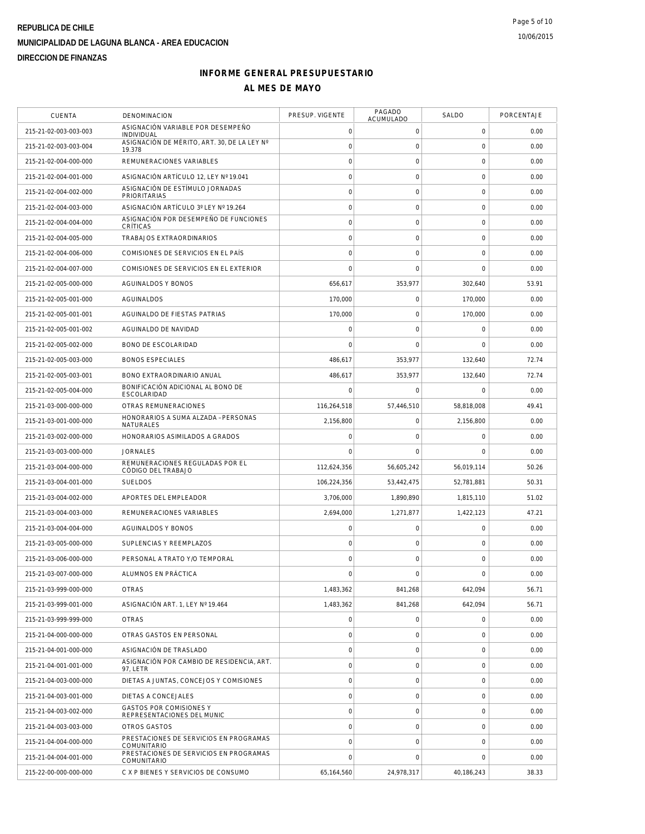| <b>CUENTA</b>         | DENOMINACION                                                 | PRESUP. VIGENTE | PAGADO<br>ACUMULADO | SALDO               | PORCENTAJE |
|-----------------------|--------------------------------------------------------------|-----------------|---------------------|---------------------|------------|
| 215-21-02-003-003-003 | ASIGNACIÓN VARIABLE POR DESEMPEÑO<br>INDIVIDUAL              | $\mathbf 0$     | $\mathbf 0$         | $\mathbf 0$         | 0.00       |
| 215-21-02-003-003-004 | ASIGNACIÓN DE MÉRITO, ART. 30. DE LA LEY Nº<br>19.378        | $\mathbf 0$     | $\mathbf 0$         | $\mathbf 0$         | 0.00       |
| 215-21-02-004-000-000 | REMUNERACIONES VARIABLES                                     | $\circ$         | $\mathsf O$         | $\mathbf 0$         | 0.00       |
| 215-21-02-004-001-000 | ASIGNACIÓN ARTÍCULO 12, LEY Nº 19.041                        | $\mathbf 0$     | $\mathbf 0$         | $\mathbf 0$         | 0.00       |
| 215-21-02-004-002-000 | ASIGNACIÓN DE ESTÍMULO JORNADAS<br>PRIORITARIAS              | $\circ$         | $\mathbf 0$         | $\mathbf 0$         | 0.00       |
| 215-21-02-004-003-000 | ASIGNACIÓN ARTÍCULO 3º LEY Nº 19.264                         | $\mathbf 0$     | $\mathbf 0$         | $\mathbf 0$         | 0.00       |
| 215-21-02-004-004-000 | ASIGNACIÓN POR DESEMPEÑO DE FUNCIONES<br>CRÍTICAS            | $\mathbf 0$     | $\mathsf{O}\xspace$ | $\mathsf{O}\xspace$ | 0.00       |
| 215-21-02-004-005-000 | TRABAJOS EXTRAORDINARIOS                                     | $\circ$         | $\mathsf O$         | $\mathbf 0$         | 0.00       |
| 215-21-02-004-006-000 | COMISIONES DE SERVICIOS EN EL PAÍS                           | $\circ$         | $\mathbf 0$         | $\mathbf 0$         | 0.00       |
| 215-21-02-004-007-000 | COMISIONES DE SERVICIOS EN EL EXTERIOR                       | $\mathbf 0$     | $\mathbf 0$         | $\mathbf 0$         | 0.00       |
| 215-21-02-005-000-000 | AGUINALDOS Y BONOS                                           | 656,617         | 353,977             | 302,640             | 53.91      |
| 215-21-02-005-001-000 | AGUINALDOS                                                   | 170,000         | $\mathsf O$         | 170,000             | 0.00       |
| 215-21-02-005-001-001 | AGUINALDO DE FIESTAS PATRIAS                                 | 170,000         | $\mathbf 0$         | 170,000             | 0.00       |
| 215-21-02-005-001-002 | AGUINALDO DE NAVIDAD                                         | $\mathbf 0$     | $\mathbf 0$         | $\mathbf 0$         | 0.00       |
| 215-21-02-005-002-000 | BONO DE ESCOLARIDAD                                          | $\mathbf 0$     | $\mathbf 0$         | $\mathbf 0$         | 0.00       |
| 215-21-02-005-003-000 | <b>BONOS ESPECIALES</b>                                      | 486,617         | 353,977             | 132,640             | 72.74      |
| 215-21-02-005-003-001 | BONO EXTRAORDINARIO ANUAL                                    | 486,617         | 353,977             | 132,640             | 72.74      |
| 215-21-02-005-004-000 | BONIFICACIÓN ADICIONAL AL BONO DE<br><b>ESCOLARIDAD</b>      | $\mathbf 0$     | $\mathbf 0$         | $\mathbf 0$         | 0.00       |
| 215-21-03-000-000-000 | OTRAS REMUNERACIONES                                         | 116,264,518     | 57,446,510          | 58,818,008          | 49.41      |
| 215-21-03-001-000-000 | HONORARIOS A SUMA ALZADA - PERSONAS<br>NATURALES             | 2,156,800       | $\mathbf 0$         | 2,156,800           | 0.00       |
| 215-21-03-002-000-000 | HONORARIOS ASIMILADOS A GRADOS                               | $\mathbf 0$     | $\mathbf 0$         | $\mathbf 0$         | 0.00       |
| 215-21-03-003-000-000 | <b>JORNALES</b>                                              | $\mathbf 0$     | $\mathbf 0$         | 0                   | 0.00       |
| 215-21-03-004-000-000 | REMUNERACIONES REGULADAS POR EL<br>CÓDIGO DEL TRABAJO        | 112,624,356     | 56,605,242          | 56,019,114          | 50.26      |
| 215-21-03-004-001-000 | <b>SUELDOS</b>                                               | 106,224,356     | 53,442,475          | 52,781,881          | 50.31      |
| 215-21-03-004-002-000 | APORTES DEL EMPLEADOR                                        | 3,706,000       | 1,890,890           | 1,815,110           | 51.02      |
| 215-21-03-004-003-000 | REMUNERACIONES VARIABLES                                     | 2,694,000       | 1,271,877           | 1,422,123           | 47.21      |
| 215-21-03-004-004-000 | <b>AGUINALDOS Y BONOS</b>                                    | $\circ$         | $\mathsf O$         | $\mathbf 0$         | 0.00       |
| 215-21-03-005-000-000 | SUPLENCIAS Y REEMPLAZOS                                      | $\mathbf 0$     | $\mathbf 0$         | $\mathbf 0$         | 0.00       |
| 215-21-03-006-000-000 | PERSONAL A TRATO Y/O TEMPORAL                                | $\circ$         | $\mathbf 0$         | $\mathbf 0$         | 0.00       |
| 215-21-03-007-000-000 | ALUMNOS EN PRÁCTICA                                          | $\mathbf 0$     | $\mathsf O$         | 0                   | 0.00       |
| 215-21-03-999-000-000 | <b>OTRAS</b>                                                 | 1,483,362       | 841,268             | 642,094             | 56.71      |
| 215-21-03-999-001-000 | ASIGNACIÓN ART. 1, LEY Nº 19.464                             | 1,483,362       | 841,268             | 642,094             | 56.71      |
| 215-21-03-999-999-000 | <b>OTRAS</b>                                                 | $\mathbf 0$     | $\mathsf O$         | $\mathbf 0$         | 0.00       |
| 215-21-04-000-000-000 | OTRAS GASTOS EN PERSONAL                                     | $\mathbf 0$     | $\mathsf O$         | 0                   | 0.00       |
| 215-21-04-001-000-000 | ASIGNACIÓN DE TRASLADO                                       | $\mathbf 0$     | $\mathbf 0$         | $\mathbf 0$         | 0.00       |
| 215-21-04-001-001-000 | ASIGNACIÓN POR CAMBIO DE RESIDENCIA, ART.<br>97, LETR        | $\circ$         | $\mathsf O$         | $\mathbf 0$         | 0.00       |
| 215-21-04-003-000-000 | DIETAS A JUNTAS, CONCEJOS Y COMISIONES                       | $\mathbf 0$     | 0                   | 0                   | 0.00       |
| 215-21-04-003-001-000 | DIETAS A CONCEJALES                                          | $\circ$         | $\mathsf O$         | $\mathsf{O}\xspace$ | 0.00       |
| 215-21-04-003-002-000 | <b>GASTOS POR COMISIONES Y</b><br>REPRESENTACIONES DEL MUNIC | $\circ$         | $\mathsf O$         | $\mathbf 0$         | 0.00       |
| 215-21-04-003-003-000 | OTROS GASTOS                                                 | $\mathbf 0$     | $\mathbf 0$         | $\mathbf 0$         | 0.00       |
| 215-21-04-004-000-000 | PRESTACIONES DE SERVICIOS EN PROGRAMAS<br>COMUNITARIO        | $\circ$         | $\mathbf 0$         | 0                   | 0.00       |
| 215-21-04-004-001-000 | PRESTACIONES DE SERVICIOS EN PROGRAMAS<br>COMUNITARIO        | $\mathbf 0$     | $\mathbf 0$         | $\mathbf 0$         | 0.00       |
| 215-22-00-000-000-000 | C X P BIENES Y SERVICIOS DE CONSUMO                          | 65,164,560      | 24,978,317          | 40,186,243          | 38.33      |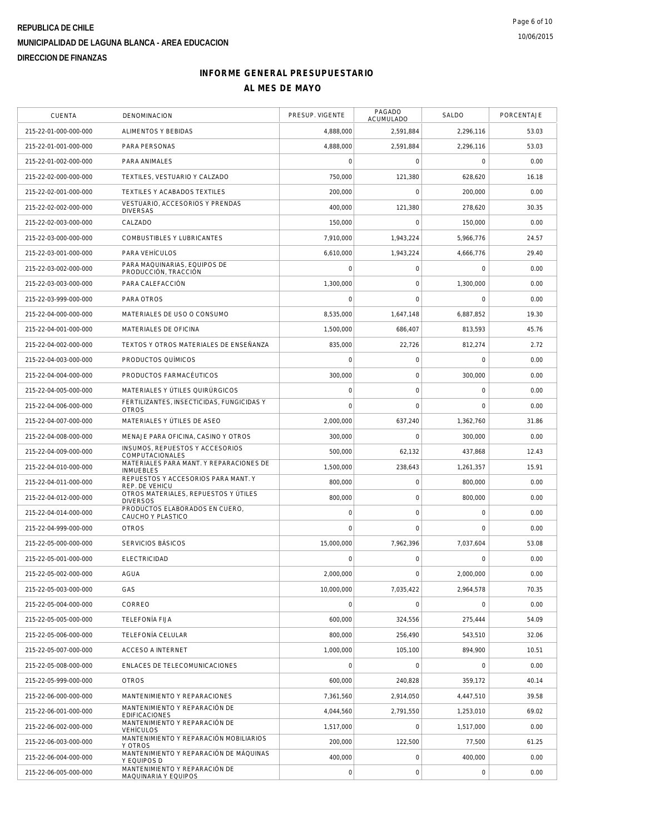| <b>CUENTA</b>         | <b>DENOMINACION</b>                                         | PRESUP. VIGENTE     | PAGADO<br>ACUMULADO | SALDO       | PORCENTAJE |
|-----------------------|-------------------------------------------------------------|---------------------|---------------------|-------------|------------|
| 215-22-01-000-000-000 | ALIMENTOS Y BEBIDAS                                         | 4,888,000           | 2,591,884           | 2,296,116   | 53.03      |
| 215-22-01-001-000-000 | PARA PERSONAS                                               | 4,888,000           | 2,591,884           | 2,296,116   | 53.03      |
| 215-22-01-002-000-000 | PARA ANIMALES                                               | 0                   | 0                   | $\mathbf 0$ | 0.00       |
| 215-22-02-000-000-000 | TEXTILES, VESTUARIO Y CALZADO                               | 750,000             | 121,380             | 628,620     | 16.18      |
| 215-22-02-001-000-000 | TEXTILES Y ACABADOS TEXTILES                                | 200,000             | $\mathbf 0$         | 200,000     | 0.00       |
| 215-22-02-002-000-000 | VESTUARIO, ACCESORIOS Y PRENDAS<br><b>DIVERSAS</b>          | 400,000             | 121,380             | 278,620     | 30.35      |
| 215-22-02-003-000-000 | CALZADO                                                     | 150,000             | $\mathbf 0$         | 150,000     | 0.00       |
| 215-22-03-000-000-000 | COMBUSTIBLES Y LUBRICANTES                                  | 7,910,000           | 1,943,224           | 5,966,776   | 24.57      |
| 215-22-03-001-000-000 | PARA VEHÍCULOS                                              | 6.610.000           | 1,943,224           | 4,666,776   | 29.40      |
| 215-22-03-002-000-000 | PARA MAQUINARIAS, EQUIPOS DE<br>PRODUCCIÓN, TRACCIÓN        | 0                   | $\mathbf 0$         | $\mathbf 0$ | 0.00       |
| 215-22-03-003-000-000 | PARA CALEFACCIÓN                                            | 1,300,000           | $\mathbf 0$         | 1,300,000   | 0.00       |
| 215-22-03-999-000-000 | PARA OTROS                                                  | 0                   | $\mathbf 0$         | $\mathbf 0$ | 0.00       |
| 215-22-04-000-000-000 | MATERIALES DE USO O CONSUMO                                 | 8,535,000           | 1.647.148           | 6,887,852   | 19.30      |
| 215-22-04-001-000-000 | MATERIALES DE OFICINA                                       | 1,500,000           | 686,407             | 813,593     | 45.76      |
| 215-22-04-002-000-000 | TEXTOS Y OTROS MATERIALES DE ENSEÑANZA                      | 835.000             | 22,726              | 812,274     | 2.72       |
| 215-22-04-003-000-000 | PRODUCTOS QUÍMICOS                                          | 0                   | 0                   | 0           | 0.00       |
| 215-22-04-004-000-000 | PRODUCTOS FARMACÉUTICOS                                     | 300,000             | $\mathbf 0$         | 300,000     | 0.00       |
| 215-22-04-005-000-000 | MATERIALES Y ÚTILES QUIRÚRGICOS                             | 0                   | $\mathbf 0$         | 0           | 0.00       |
| 215-22-04-006-000-000 | FERTILIZANTES, INSECTICIDAS, FUNGICIDAS Y<br><b>OTROS</b>   | 0                   | $\mathbf 0$         | 0           | 0.00       |
| 215-22-04-007-000-000 | MATERIALES Y ÚTILES DE ASEO                                 | 2,000,000           | 637,240             | 1,362,760   | 31.86      |
| 215-22-04-008-000-000 | MENAJE PARA OFICINA, CASINO Y OTROS                         | 300,000             | $\mathbf 0$         | 300,000     | 0.00       |
| 215-22-04-009-000-000 | INSUMOS, REPUESTOS Y ACCESORIOS<br>COMPUTACIONALES          | 500,000             | 62,132              | 437,868     | 12.43      |
| 215-22-04-010-000-000 | MATERIALES PARA MANT. Y REPARACIONES DE<br><b>INMUEBLES</b> | 1,500,000           | 238,643             | 1,261,357   | 15.91      |
| 215-22-04-011-000-000 | REPUESTOS Y ACCESORIOS PARA MANT. Y<br>REP. DE VEHICU       | 800,000             | 0                   | 800,000     | 0.00       |
| 215-22-04-012-000-000 | OTROS MATERIALES, REPUESTOS Y ÚTILES<br><b>DIVERSOS</b>     | 800,000             | $\mathbf 0$         | 800,000     | 0.00       |
| 215-22-04-014-000-000 | PRODUCTOS ELABORADOS EN CUERO,<br>CAUCHO Y PLASTICO         | $\mathsf{O}\xspace$ | 0                   | 0           | 0.00       |
| 215-22-04-999-000-000 | <b>OTROS</b>                                                | 0                   | $\mathbf 0$         | $\mathbf 0$ | 0.00       |
| 215-22-05-000-000-000 | SERVICIOS BÁSICOS                                           | 15,000,000          | 7,962,396           | 7,037,604   | 53.08      |
| 215-22-05-001-000-000 | <b>ELECTRICIDAD</b>                                         | $\Omega$            | 0                   | $\Omega$    | 0.00       |
| 215-22-05-002-000-000 | <b>AGUA</b>                                                 | 2.000.000           | $\mathbf 0$         | 2,000,000   | 0.00       |
| 215-22-05-003-000-000 | GAS                                                         | 10,000,000          | 7,035,422           | 2,964,578   | 70.35      |
| 215-22-05-004-000-000 | CORREO                                                      | $\overline{0}$      | $\mathbf 0$         | $\mathbf 0$ | 0.00       |
| 215-22-05-005-000-000 | <b>TELEFONÍA FIJA</b>                                       | 600,000             | 324,556             | 275,444     | 54.09      |
| 215-22-05-006-000-000 | TELEFONÍA CELULAR                                           | 800,000             | 256.490             | 543,510     | 32.06      |
| 215-22-05-007-000-000 | <b>ACCESO A INTERNET</b>                                    | 1,000,000           | 105,100             | 894,900     | 10.51      |
| 215-22-05-008-000-000 | ENLACES DE TELECOMUNICACIONES                               | $\overline{0}$      | $\mathbf 0$         | $\Omega$    | 0.00       |
| 215-22-05-999-000-000 | <b>OTROS</b>                                                | 600,000             | 240,828             | 359.172     | 40.14      |
| 215-22-06-000-000-000 | MANTENIMIENTO Y REPARACIONES                                | 7,361,560           | 2.914.050           | 4.447.510   | 39.58      |
| 215-22-06-001-000-000 | MANTENIMIENTO Y REPARACIÓN DE<br><b>EDIFICACIONES</b>       | 4,044,560           | 2,791,550           | 1,253,010   | 69.02      |
| 215-22-06-002-000-000 | MANTENIMIENTO Y REPARACIÓN DE<br><b>VEHÍCULOS</b>           | 1,517,000           | $\mathbf 0$         | 1,517,000   | 0.00       |
| 215-22-06-003-000-000 | MANTENIMIENTO Y REPARACIÓN MOBILIARIOS<br>Y OTROS           | 200,000             | 122,500             | 77,500      | 61.25      |
| 215-22-06-004-000-000 | MANTENIMIENTO Y REPARACIÓN DE MÁQUINAS<br>Y EQUIPOS D       | 400,000             | 0                   | 400,000     | 0.00       |
| 215-22-06-005-000-000 | MANTENIMIENTO Y REPARACIÓN DE<br>MAQUINARIA Y EQUIPOS       | $\circ$             | $\mathsf{O}\xspace$ | 0           | 0.00       |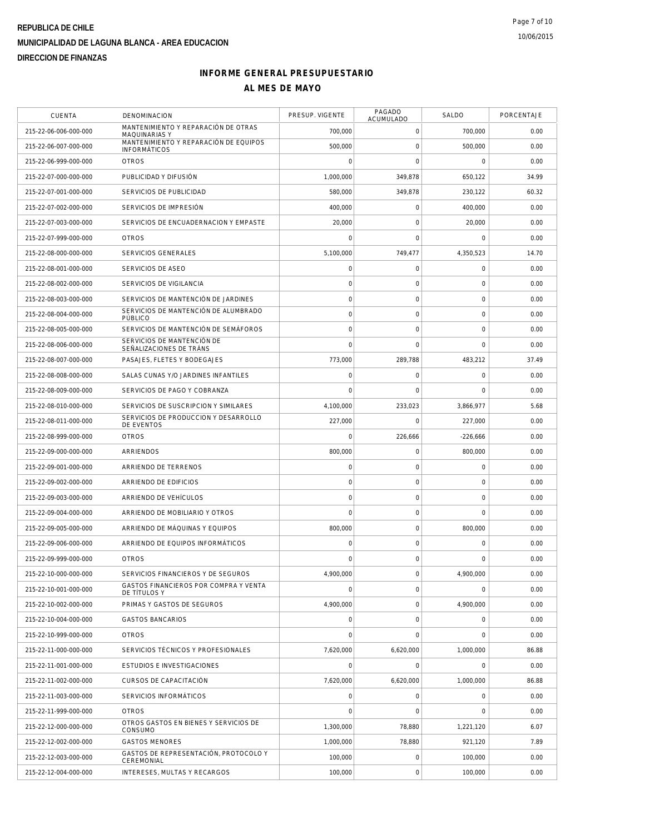| <b>CUENTA</b>         | <b>DENOMINACION</b>                                          | PRESUP. VIGENTE     | PAGADO<br>ACUMULADO | SALDO               | PORCENTAJE |
|-----------------------|--------------------------------------------------------------|---------------------|---------------------|---------------------|------------|
| 215-22-06-006-000-000 | MANTENIMIENTO Y REPARACIÓN DE OTRAS<br>MAQUINARIAS Y         | 700,000             | $\mathsf{O}\xspace$ | 700,000             | 0.00       |
| 215-22-06-007-000-000 | MANTENIMIENTO Y REPARACIÓN DE EQUIPOS<br><b>INFORMÁTICOS</b> | 500.000             | $\mathbf 0$         | 500,000             | 0.00       |
| 215-22-06-999-000-000 | <b>OTROS</b>                                                 | 0                   | 0                   | 0                   | 0.00       |
| 215-22-07-000-000-000 | PUBLICIDAD Y DIFUSIÓN                                        | 1,000,000           | 349,878             | 650,122             | 34.99      |
| 215-22-07-001-000-000 | SERVICIOS DE PUBLICIDAD                                      | 580,000             | 349,878             | 230,122             | 60.32      |
| 215-22-07-002-000-000 | SERVICIOS DE IMPRESIÓN                                       | 400,000             | 0                   | 400,000             | 0.00       |
| 215-22-07-003-000-000 | SERVICIOS DE ENCUADERNACION Y EMPASTE                        | 20,000              | 0                   | 20,000              | 0.00       |
| 215-22-07-999-000-000 | <b>OTROS</b>                                                 | $\mathbf 0$         | $\mathbf 0$         | $\mathbf 0$         | 0.00       |
| 215-22-08-000-000-000 | SERVICIOS GENERALES                                          | 5,100,000           | 749,477             | 4,350,523           | 14.70      |
| 215-22-08-001-000-000 | SERVICIOS DE ASEO                                            | $\mathbf 0$         | 0                   | 0                   | 0.00       |
| 215-22-08-002-000-000 | SERVICIOS DE VIGILANCIA                                      | $\mathsf{O}\xspace$ | $\mathsf{O}\xspace$ | 0                   | 0.00       |
| 215-22-08-003-000-000 | SERVICIOS DE MANTENCIÓN DE JARDINES                          | $\mathbf 0$         | $\mathsf{O}\xspace$ | $\mathbf 0$         | 0.00       |
| 215-22-08-004-000-000 | SERVICIOS DE MANTENCIÓN DE ALUMBRADO<br>PÚBLICO              | $\mathsf{O}\xspace$ | $\mathbf 0$         | $\mathbf 0$         | 0.00       |
| 215-22-08-005-000-000 | SERVICIOS DE MANTENCIÓN DE SEMÁFOROS                         | $\mathbf 0$         | $\mathbf 0$         | $\circ$             | 0.00       |
| 215-22-08-006-000-000 | SERVICIOS DE MANTENCIÓN DE<br>SEÑALIZACIONES DE TRÁNS        | $\mathsf{O}\xspace$ | $\mathbf 0$         | $\mathbf 0$         | 0.00       |
| 215-22-08-007-000-000 | PASAJES, FLETES Y BODEGAJES                                  | 773,000             | 289,788             | 483,212             | 37.49      |
| 215-22-08-008-000-000 | SALAS CUNAS Y/O JARDINES INFANTILES                          | $\mathbf 0$         | 0                   | 0                   | 0.00       |
| 215-22-08-009-000-000 | SERVICIOS DE PAGO Y COBRANZA                                 | $\mathbf 0$         | $\mathbf 0$         | $\mathbf 0$         | 0.00       |
| 215-22-08-010-000-000 | SERVICIOS DE SUSCRIPCION Y SIMILARES                         | 4,100,000           | 233,023             | 3,866,977           | 5.68       |
| 215-22-08-011-000-000 | SERVICIOS DE PRODUCCION Y DESARROLLO<br>DE EVENTOS           | 227,000             | $\mathsf{O}\xspace$ | 227,000             | 0.00       |
| 215-22-08-999-000-000 | <b>OTROS</b>                                                 | $\mathbf 0$         | 226,666             | $-226,666$          | 0.00       |
| 215-22-09-000-000-000 | <b>ARRIENDOS</b>                                             | 800,000             | 0                   | 800,000             | 0.00       |
| 215-22-09-001-000-000 | ARRIENDO DE TERRENOS                                         | $\mathsf{O}\xspace$ | 0                   | $\mathsf{O}\xspace$ | 0.00       |
| 215-22-09-002-000-000 | ARRIENDO DE EDIFICIOS                                        | $\mathbf 0$         | $\mathsf{O}\xspace$ | 0                   | 0.00       |
| 215-22-09-003-000-000 | ARRIENDO DE VEHÍCULOS                                        | $\mathbf 0$         | $\mathsf{O}\xspace$ | $\mathbf 0$         | 0.00       |
| 215-22-09-004-000-000 | ARRIENDO DE MOBILIARIO Y OTROS                               | $\overline{0}$      | $\mathsf{O}\xspace$ | $\mathbf 0$         | 0.00       |
| 215-22-09-005-000-000 | ARRIENDO DE MÁQUINAS Y EQUIPOS                               | 800,000             | $\mathsf{O}\xspace$ | 800,000             | 0.00       |
| 215-22-09-006-000-000 | ARRIENDO DE EQUIPOS INFORMÁTICOS                             | $\mathbf 0$         | $\mathsf{O}\xspace$ | 0                   | 0.00       |
| 215-22-09-999-000-000 | <b>OTROS</b>                                                 | $\mathbf 0$         | 0                   | 0                   | 0.00       |
| 215-22-10-000-000-000 | SERVICIOS FINANCIEROS Y DE SEGUROS                           | 4,900,000           | 0                   | 4,900,000           | 0.00       |
| 215-22-10-001-000-000 | GASTOS FINANCIEROS POR COMPRA Y VENTA<br>DE TÍTULOS Y        | $\overline{0}$      | $\mathsf{O}\xspace$ | $\mathbf 0$         | 0.00       |
| 215-22-10-002-000-000 | PRIMAS Y GASTOS DE SEGUROS                                   | 4,900,000           | 0                   | 4,900,000           | 0.00       |
| 215-22-10-004-000-000 | <b>GASTOS BANCARIOS</b>                                      | 0                   | $\mathsf{O}\xspace$ | 0                   | 0.00       |
| 215-22-10-999-000-000 | <b>OTROS</b>                                                 | $\mathsf{O}\xspace$ | $\mathsf{O}\xspace$ | 0                   | 0.00       |
| 215-22-11-000-000-000 | SERVICIOS TÉCNICOS Y PROFESIONALES                           | 7,620,000           | 6,620,000           | 1,000,000           | 86.88      |
| 215-22-11-001-000-000 | ESTUDIOS E INVESTIGACIONES                                   | $\mathbf 0$         | 0                   | $\mathbf 0$         | 0.00       |
| 215-22-11-002-000-000 | CURSOS DE CAPACITACIÓN                                       | 7,620,000           | 6,620,000           | 1,000,000           | 86.88      |
| 215-22-11-003-000-000 | SERVICIOS INFORMÁTICOS                                       | $\mathsf{O}\xspace$ | 0                   | 0                   | 0.00       |
| 215-22-11-999-000-000 | <b>OTROS</b>                                                 | $\mathbf 0$         | $\mathbf 0$         | 0                   | 0.00       |
| 215-22-12-000-000-000 | OTROS GASTOS EN BIENES Y SERVICIOS DE<br>CONSUMO             | 1,300,000           | 78,880              | 1,221,120           | 6.07       |
| 215-22-12-002-000-000 | <b>GASTOS MENORES</b>                                        | 1,000,000           | 78,880              | 921,120             | 7.89       |
| 215-22-12-003-000-000 | GASTOS DE REPRESENTACIÓN, PROTOCOLO Y<br>CEREMONIAL          | 100,000             | 0                   | 100,000             | 0.00       |
| 215-22-12-004-000-000 | INTERESES, MULTAS Y RECARGOS                                 | 100,000             | $\mathsf{O}\xspace$ | 100,000             | 0.00       |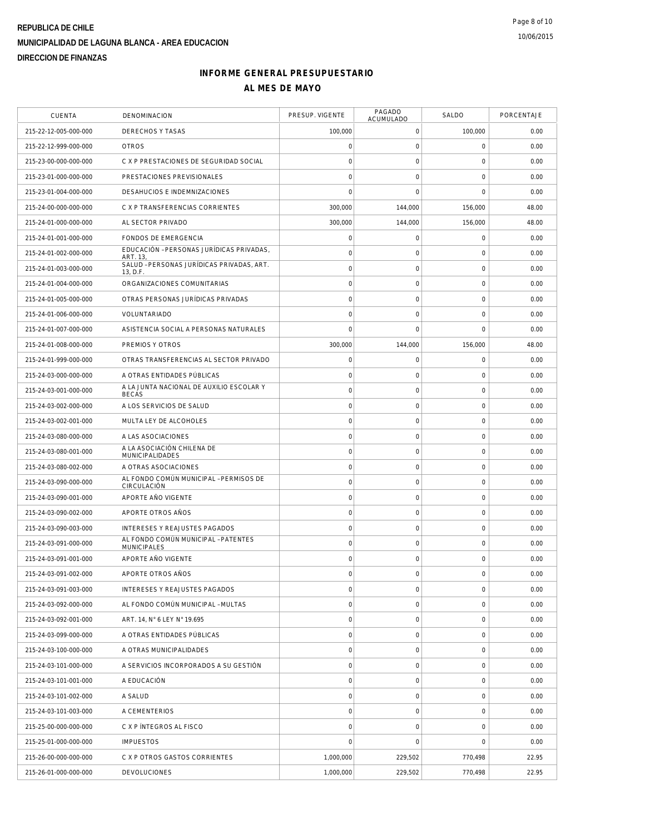| <b>CUENTA</b>         | DENOMINACION                                              | PRESUP. VIGENTE     | PAGADO<br>ACUMULADO | SALDO               | PORCENTAJE |
|-----------------------|-----------------------------------------------------------|---------------------|---------------------|---------------------|------------|
| 215-22-12-005-000-000 | DERECHOS Y TASAS                                          | 100,000             | 0                   | 100,000             | 0.00       |
| 215-22-12-999-000-000 | <b>OTROS</b>                                              | $\mathsf{O}\xspace$ | $\mathsf{O}\xspace$ | $\mathbf 0$         | 0.00       |
| 215-23-00-000-000-000 | C X P PRESTACIONES DE SEGURIDAD SOCIAL                    | $\mathbf 0$         | $\mathsf{O}\xspace$ | $\mathbf 0$         | 0.00       |
| 215-23-01-000-000-000 | PRESTACIONES PREVISIONALES                                | $\mathbf 0$         | $\mathbf 0$         | $\mathbf 0$         | 0.00       |
| 215-23-01-004-000-000 | DESAHUCIOS E INDEMNIZACIONES                              | $\bigcap$           | $\mathbf 0$         | $\mathbf 0$         | 0.00       |
| 215-24-00-000-000-000 | C X P TRANSFERENCIAS CORRIENTES                           | 300,000             | 144,000             | 156,000             | 48.00      |
| 215-24-01-000-000-000 | AL SECTOR PRIVADO                                         | 300,000             | 144,000             | 156,000             | 48.00      |
| 215-24-01-001-000-000 | FONDOS DE EMERGENCIA                                      | $\mathsf{O}\xspace$ | $\mathsf O$         | $\mathbf 0$         | 0.00       |
| 215-24-01-002-000-000 | EDUCACIÓN - PERSONAS JURÍDICAS PRIVADAS,<br>ART. 13.      | $\mathbf 0$         | $\mathsf{O}\xspace$ | $\mathbf 0$         | 0.00       |
| 215-24-01-003-000-000 | SALUD - PERSONAS JURÍDICAS PRIVADAS, ART.<br>13, D.F.     | $\mathbf 0$         | $\mathsf{O}\xspace$ | $\mathbf 0$         | 0.00       |
| 215-24-01-004-000-000 | ORGANIZACIONES COMUNITARIAS                               | $\circ$             | $\mathbf 0$         | $\mathbf 0$         | 0.00       |
| 215-24-01-005-000-000 | OTRAS PERSONAS JURÍDICAS PRIVADAS                         | $\mathbf 0$         | $\mathsf{O}\xspace$ | $\mathbf 0$         | 0.00       |
| 215-24-01-006-000-000 | VOLUNTARIADO                                              | $\mathbf 0$         | 0                   | $\mathsf{O}\xspace$ | 0.00       |
| 215-24-01-007-000-000 | ASISTENCIA SOCIAL A PERSONAS NATURALES                    | $\mathbf 0$         | $\mathbf 0$         | $\overline{0}$      | 0.00       |
| 215-24-01-008-000-000 | PREMIOS Y OTROS                                           | 300,000             | 144,000             | 156,000             | 48.00      |
| 215-24-01-999-000-000 | OTRAS TRANSFERENCIAS AL SECTOR PRIVADO                    | $\mathsf{O}\xspace$ | $\mathsf{O}\xspace$ | $\mathbf 0$         | 0.00       |
| 215-24-03-000-000-000 | A OTRAS ENTIDADES PÚBLICAS                                | $\circ$             | $\mathbf 0$         | $\mathbf 0$         | 0.00       |
| 215-24-03-001-000-000 | A LA JUNTA NACIONAL DE AUXILIO ESCOLAR Y<br><b>BECAS</b>  | $\mathsf{O}\xspace$ | $\mathsf{O}\xspace$ | $\mathbf 0$         | 0.00       |
| 215-24-03-002-000-000 | A LOS SERVICIOS DE SALUD                                  | $\mathsf{O}\xspace$ | $\mathsf{O}\xspace$ | $\mathbf 0$         | 0.00       |
| 215-24-03-002-001-000 | MULTA LEY DE ALCOHOLES                                    | $\mathbf 0$         | $\mathsf{O}\xspace$ | $\mathbf 0$         | 0.00       |
| 215-24-03-080-000-000 | A LAS ASOCIACIONES                                        | $\circ$             | $\mathsf{O}\xspace$ | $\mathbf 0$         | 0.00       |
| 215-24-03-080-001-000 | A LA ASOCIACIÓN CHILENA DE<br>MUNICIPALIDADES             | $\mathbf 0$         | $\mathsf{O}\xspace$ | $\mathbf 0$         | 0.00       |
| 215-24-03-080-002-000 | A OTRAS ASOCIACIONES                                      | $\circ$             | $\mathbf 0$         | $\mathbf 0$         | 0.00       |
| 215-24-03-090-000-000 | AL FONDO COMÚN MUNICIPAL - PERMISOS DE<br>CIRCULACIÓN     | $\mathbf 0$         | $\mathsf{O}\xspace$ | $\mathbf 0$         | 0.00       |
| 215-24-03-090-001-000 | APORTE AÑO VIGENTE                                        | $\mathsf{O}\xspace$ | 0                   | 0                   | 0.00       |
| 215-24-03-090-002-000 | APORTE OTROS AÑOS                                         | $\mathbf 0$         | $\mathsf O$         | $\mathsf{O}\xspace$ | 0.00       |
| 215-24-03-090-003-000 | INTERESES Y REAJUSTES PAGADOS                             | $\circ$             | $\mathsf{O}\xspace$ | $\mathbf 0$         | 0.00       |
| 215-24-03-091-000-000 | AL FONDO COMÚN MUNICIPAL - PATENTES<br><b>MUNICIPALES</b> | $\mathsf{O}\xspace$ | $\mathbf 0$         | $\mathbf 0$         | 0.00       |
| 215-24-03-091-001-000 | APORTE AÑO VIGENTE                                        | $\circ$             | $\mathbf 0$         | $\mathbf 0$         | 0.00       |
| 215-24-03-091-002-000 | APORTE OTROS AÑOS                                         | $\mathsf{O}\xspace$ | $\mathsf O$         | $\mathbf 0$         | 0.00       |
| 215-24-03-091-003-000 | <b>INTERESES Y REAJUSTES PAGADOS</b>                      | $\mathsf{O}\xspace$ | $\mathsf O$         | $\mathsf{O}\xspace$ | 0.00       |
| 215-24-03-092-000-000 | AL FONDO COMÚN MUNICIPAL - MULTAS                         | $\mathsf{O}\xspace$ | 0                   | 0                   | 0.00       |
| 215-24-03-092-001-000 | ART. 14, N° 6 LEY N° 19.695                               | $\mathsf{O}\xspace$ | $\mathsf O$         | $\mathbf 0$         | 0.00       |
| 215-24-03-099-000-000 | A OTRAS ENTIDADES PÚBLICAS                                | $\mathbf 0$         | $\mathsf O$         | $\mathbf 0$         | 0.00       |
| 215-24-03-100-000-000 | A OTRAS MUNICIPALIDADES                                   | $\mathsf{O}\xspace$ | $\mathbf 0$         | $\mathbf 0$         | 0.00       |
| 215-24-03-101-000-000 | A SERVICIOS INCORPORADOS A SU GESTIÓN                     | $\mathbf 0$         | $\mathsf O$         | $\mathbf 0$         | 0.00       |
| 215-24-03-101-001-000 | A EDUCACIÓN                                               | $\mathsf{O}\xspace$ | 0                   | 0                   | 0.00       |
| 215-24-03-101-002-000 | A SALUD                                                   | $\mathbf 0$         | $\mathsf O$         | $\mathsf{O}\xspace$ | 0.00       |
| 215-24-03-101-003-000 | A CEMENTERIOS                                             | $\circ$             | $\mathsf O$         | $\mathbf 0$         | 0.00       |
| 215-25-00-000-000-000 | C X P ÍNTEGROS AL FISCO                                   | $\mathsf{O}\xspace$ | $\mathsf{O}\xspace$ | $\mathbf 0$         | 0.00       |
| 215-25-01-000-000-000 | <b>IMPUESTOS</b>                                          | $\overline{0}$      | $\mathbf 0$         | $\mathbf 0$         | 0.00       |
| 215-26-00-000-000-000 | C X P OTROS GASTOS CORRIENTES                             | 1,000,000           | 229,502             | 770,498             | 22.95      |
| 215-26-01-000-000-000 | <b>DEVOLUCIONES</b>                                       | 1,000,000           | 229,502             | 770,498             | 22.95      |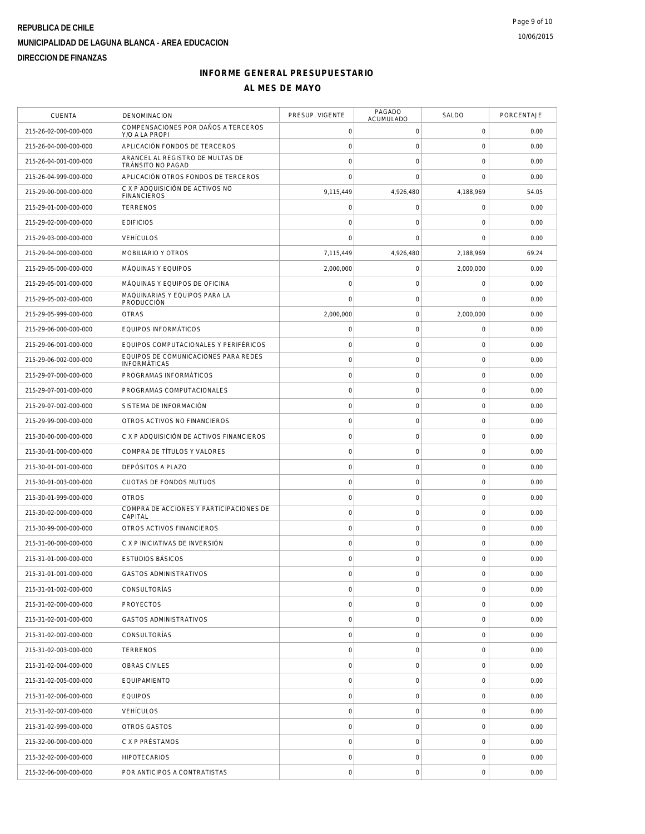| <b>CUENTA</b>         | DENOMINACION                                                | PRESUP. VIGENTE     | PAGADO<br>ACUMULADO | SALDO               | PORCENTAJE |
|-----------------------|-------------------------------------------------------------|---------------------|---------------------|---------------------|------------|
| 215-26-02-000-000-000 | COMPENSACIONES POR DAÑOS A TERCEROS<br>Y/O A LA PROPI       | $\mathbf 0$         | 0                   | 0                   | 0.00       |
| 215-26-04-000-000-000 | APLICACIÓN FONDOS DE TERCEROS                               | $\mathbf 0$         | $\mathsf O$         | $\mathbf 0$         | 0.00       |
| 215-26-04-001-000-000 | ARANCEL AL REGISTRO DE MULTAS DE<br>TRÁNSITO NO PAGAD       | $\mathbf 0$         | $\mathsf O$         | $\mathbf 0$         | 0.00       |
| 215-26-04-999-000-000 | APLICACIÓN OTROS FONDOS DE TERCEROS                         | $\mathbf 0$         | $\mathbf 0$         | $\mathbf 0$         | 0.00       |
| 215-29-00-000-000-000 | C X P ADQUISICIÓN DE ACTIVOS NO<br><b>FINANCIEROS</b>       | 9,115,449           | 4,926,480           | 4,188,969           | 54.05      |
| 215-29-01-000-000-000 | <b>TERRENOS</b>                                             | $\mathbf 0$         | $\mathsf O$         | $\mathbf 0$         | 0.00       |
| 215-29-02-000-000-000 | <b>EDIFICIOS</b>                                            | $\mathbf 0$         | $\mathsf{O}\xspace$ | $\mathsf{O}\xspace$ | 0.00       |
| 215-29-03-000-000-000 | <b>VEHÍCULOS</b>                                            | $\mathbf 0$         | $\mathsf O$         | 0                   | 0.00       |
| 215-29-04-000-000-000 | MOBILIARIO Y OTROS                                          | 7,115,449           | 4,926,480           | 2,188,969           | 69.24      |
| 215-29-05-000-000-000 | MÁQUINAS Y EQUIPOS                                          | 2,000,000           | 0                   | 2,000,000           | 0.00       |
| 215-29-05-001-000-000 | MÁQUINAS Y EQUIPOS DE OFICINA                               | 0                   | $\mathbf 0$         | 0                   | 0.00       |
| 215-29-05-002-000-000 | MAQUINARIAS Y EQUIPOS PARA LA<br>PRODUCCIÓN                 | $\mathbf 0$         | $\mathsf{O}\xspace$ | $\mathbf 0$         | 0.00       |
| 215-29-05-999-000-000 | <b>OTRAS</b>                                                | 2,000,000           | $\mathsf O$         | 2,000,000           | 0.00       |
| 215-29-06-000-000-000 | EQUIPOS INFORMÁTICOS                                        | $\mathbf 0$         | $\mathsf{O}\xspace$ | $\mathbf 0$         | 0.00       |
| 215-29-06-001-000-000 | EQUIPOS COMPUTACIONALES Y PERIFÉRICOS                       | $\circ$             | $\mathsf{O}\xspace$ | $\mathbf 0$         | 0.00       |
| 215-29-06-002-000-000 | EQUIPOS DE COMUNICACIONES PARA REDES<br><b>INFORMÁTICAS</b> | $\mathsf{O}\xspace$ | $\mathsf{O}\xspace$ | $\mathsf{O}\xspace$ | 0.00       |
| 215-29-07-000-000-000 | PROGRAMAS INFORMÁTICOS                                      | $\mathbf 0$         | $\mathsf{O}\xspace$ | $\mathsf{O}\xspace$ | 0.00       |
| 215-29-07-001-000-000 | PROGRAMAS COMPUTACIONALES                                   | $\mathbf 0$         | $\mathsf O$         | $\mathbf 0$         | 0.00       |
| 215-29-07-002-000-000 | SISTEMA DE INFORMACIÓN                                      | $\circ$             | $\mathsf{O}\xspace$ | $\mathbf 0$         | 0.00       |
| 215-29-99-000-000-000 | OTROS ACTIVOS NO FINANCIEROS                                | $\circ$             | $\mathsf O$         | $\mathbf 0$         | 0.00       |
| 215-30-00-000-000-000 | C X P ADQUISICIÓN DE ACTIVOS FINANCIEROS                    | $\mathbf 0$         | $\mathsf{O}\xspace$ | $\mathbf 0$         | 0.00       |
| 215-30-01-000-000-000 | COMPRA DE TÍTULOS Y VALORES                                 | $\circ$             | $\mathsf{O}\xspace$ | $\mathsf{O}\xspace$ | 0.00       |
| 215-30-01-001-000-000 | DEPÓSITOS A PLAZO                                           | $\circ$             | $\mathsf{O}\xspace$ | $\mathbf 0$         | 0.00       |
| 215-30-01-003-000-000 | CUOTAS DE FONDOS MUTUOS                                     | $\mathbf 0$         | $\mathsf O$         | $\mathbf 0$         | 0.00       |
| 215-30-01-999-000-000 | <b>OTROS</b>                                                | $\mathsf{O}\xspace$ | $\mathsf O$         | 0                   | 0.00       |
| 215-30-02-000-000-000 | COMPRA DE ACCIONES Y PARTICIPACIONES DE<br>CAPITAL          | $\mathbf 0$         | $\mathsf O$         | $\mathbf 0$         | 0.00       |
| 215-30-99-000-000-000 | OTROS ACTIVOS FINANCIEROS                                   | $\circ$             | $\mathsf{O}\xspace$ | $\mathbf 0$         | 0.00       |
| 215-31-00-000-000-000 | C X P INICIATIVAS DE INVERSIÓN                              | $\mathbf 0$         | $\mathbf 0$         | $\mathbf 0$         | 0.00       |
| 215-31-01-000-000-000 | <b>ESTUDIOS BÁSICOS</b>                                     | $\mathbf 0$         | $\mathsf{O}\xspace$ | 0                   | 0.00       |
| 215-31-01-001-000-000 | <b>GASTOS ADMINISTRATIVOS</b>                               | $\mathbf 0$         | $\mathsf O$         | $\mathbf 0$         | 0.00       |
| 215-31-01-002-000-000 | CONSULTORÍAS                                                | $\mathsf{O}\xspace$ | $\boldsymbol{0}$    | $\mathsf{O}\xspace$ | 0.00       |
| 215-31-02-000-000-000 | <b>PROYECTOS</b>                                            | $\mathbf 0$         | 0                   | 0                   | 0.00       |
| 215-31-02-001-000-000 | <b>GASTOS ADMINISTRATIVOS</b>                               | $\mathbf 0$         | $\mathsf O$         | $\mathbf 0$         | 0.00       |
| 215-31-02-002-000-000 | <b>CONSULTORÍAS</b>                                         | $\mathbf 0$         | $\mathsf O$         | $\mathbf 0$         | 0.00       |
| 215-31-02-003-000-000 | <b>TERRENOS</b>                                             | $\mathbf 0$         | $\mathbf 0$         | $\mathbf 0$         | 0.00       |
| 215-31-02-004-000-000 | OBRAS CIVILES                                               | $\circ$             | $\mathsf O$         | $\mathbf 0$         | 0.00       |
| 215-31-02-005-000-000 | EQUIPAMIENTO                                                | $\mathsf{O}\xspace$ | 0                   | 0                   | 0.00       |
| 215-31-02-006-000-000 | <b>EQUIPOS</b>                                              | $\circ$             | $\mathsf O$         | $\mathsf{O}\xspace$ | 0.00       |
| 215-31-02-007-000-000 | <b>VEHÍCULOS</b>                                            | $\mathbf 0$         | $\mathsf O$         | $\mathbf 0$         | 0.00       |
| 215-31-02-999-000-000 | OTROS GASTOS                                                | $\mathbf 0$         | $\mathbf 0$         | $\mathbf 0$         | 0.00       |
| 215-32-00-000-000-000 | C X P PRÉSTAMOS                                             | $\mathbf 0$         | $\mathsf O$         | $\mathbf 0$         | 0.00       |
| 215-32-02-000-000-000 | <b>HIPOTECARIOS</b>                                         | $\mathbf 0$         | $\mathsf O$         | $\mathbf 0$         | 0.00       |
| 215-32-06-000-000-000 | POR ANTICIPOS A CONTRATISTAS                                | $\mathsf{O}\xspace$ | $\boldsymbol{0}$    | $\mathsf{O}\xspace$ | 0.00       |